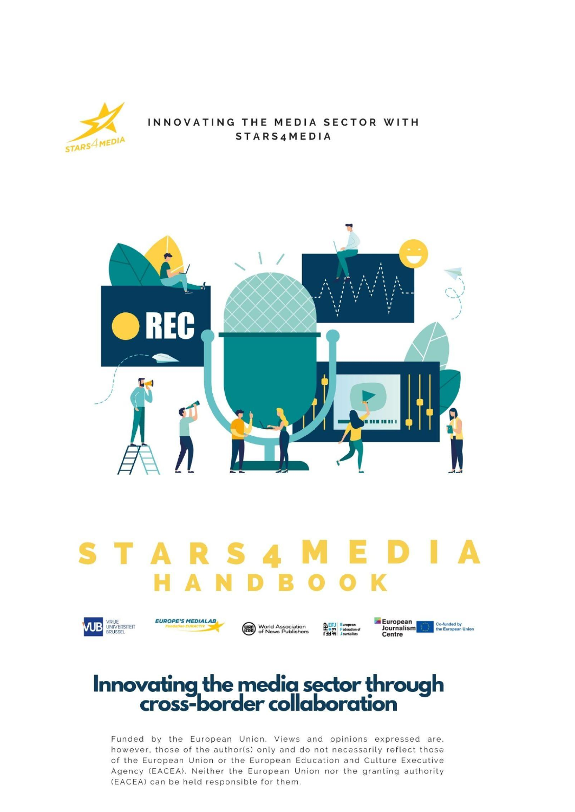

#### INNOVATING THE MEDIA SECTOR WITH **STARS4MEDIA**



## **STARS**  $\blacktriangle$ **HANDBOO** K



**EUROPE'S MEDIALAB** 







# Innovating the media sector through<br>cross-border collaboration

Funded by the European Union. Views and opinions expressed are, however, those of the author(s) only and do not necessarily reflect those of the European Union or the European Education and Culture Executive Agency (EACEA). Neither the European Union nor the granting authority (EACEA) can be held responsible for them.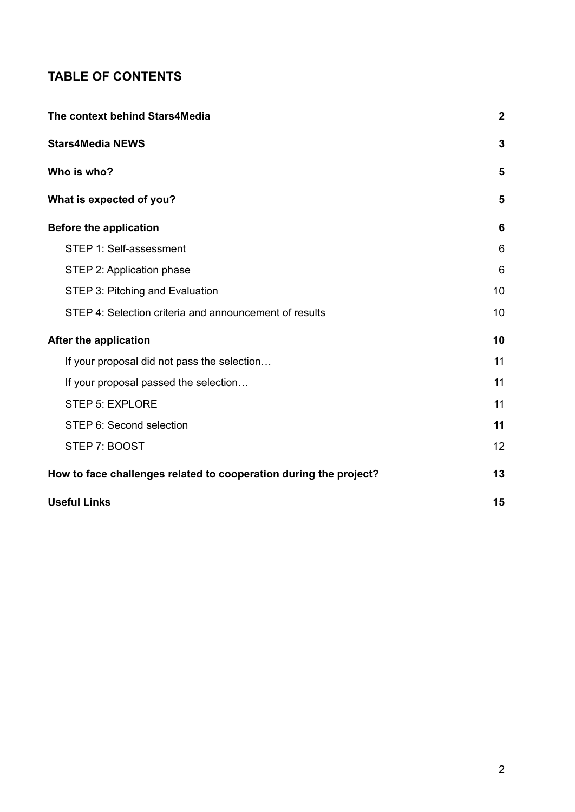# **TABLE OF CONTENTS**

| The context behind Stars4Media                                    | $\boldsymbol{2}$ |
|-------------------------------------------------------------------|------------------|
| <b>Stars4Media NEWS</b>                                           | 3                |
| Who is who?                                                       | 5                |
| What is expected of you?                                          | 5                |
| <b>Before the application</b>                                     | 6                |
| STEP 1: Self-assessment                                           | 6                |
| STEP 2: Application phase                                         | 6                |
| STEP 3: Pitching and Evaluation                                   | 10               |
| STEP 4: Selection criteria and announcement of results            | 10               |
| After the application                                             | 10               |
| If your proposal did not pass the selection                       | 11               |
| If your proposal passed the selection                             | 11               |
| <b>STEP 5: EXPLORE</b>                                            | 11               |
| STEP 6: Second selection                                          | 11               |
| STEP 7: BOOST                                                     | 12               |
| How to face challenges related to cooperation during the project? | 13               |
| <b>Useful Links</b>                                               | 15               |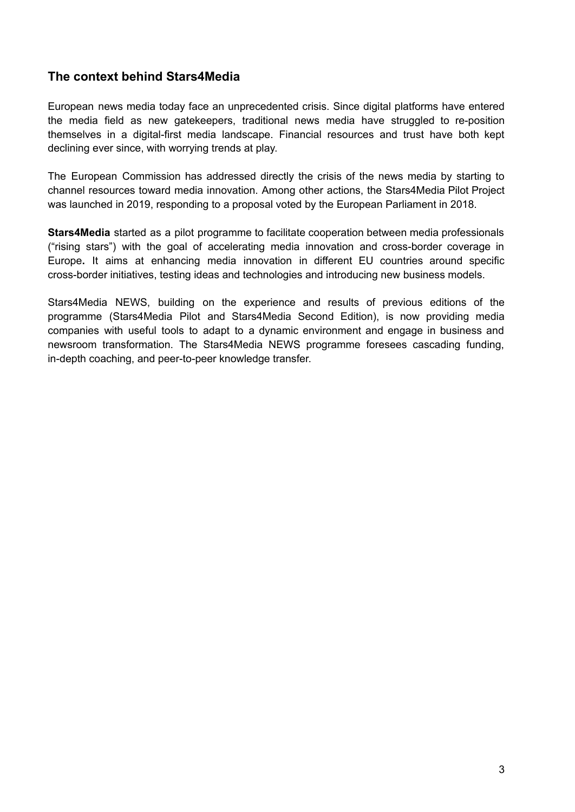## <span id="page-2-0"></span>**The context behind Stars4Media**

European news media today face an unprecedented crisis. Since digital platforms have entered the media field as new gatekeepers, traditional news media have struggled to re-position themselves in a digital-first media landscape. Financial resources and trust have both kept declining ever since, with worrying trends at play.

The European Commission has addressed directly the crisis of the news media by starting to channel resources toward media innovation. Among other actions, the Stars4Media Pilot Project was launched in 2019, responding to a proposal voted by the European [Parliament](https://ec.europa.eu/info/sites/info/files/about_the_european_commission/eu_budget/draft-budget-2019-pilot-projects-preparatory-actions-com-2018-600_2018_en.pdf) in 2018.

**Stars4Media** started as a pilot programme to facilitate cooperation between media professionals ("rising stars") with the goal of accelerating media innovation and cross-border coverage in Europe**.** It aims at enhancing media innovation in different EU countries around specific cross-border initiatives, testing ideas and technologies and introducing new business models.

Stars4Media NEWS, building on the experience and results of previous editions of the programme (Stars4Media Pilot and Stars4Media Second Edition), is now providing media companies with useful tools to adapt to a dynamic environment and engage in business and newsroom transformation. The Stars4Media NEWS programme foresees cascading funding, in-depth coaching, and peer-to-peer knowledge transfer.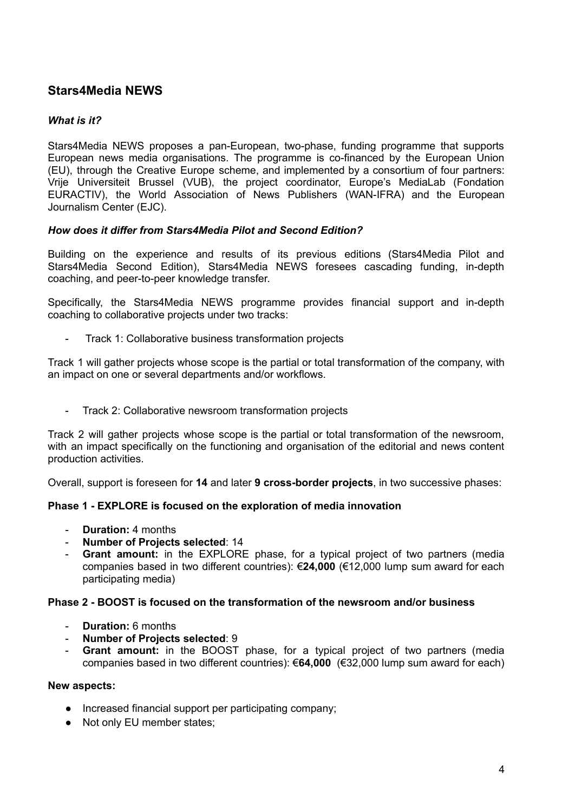## <span id="page-3-0"></span>**Stars4Media NEWS**

#### *What is it?*

Stars4Media NEWS proposes a pan-European, two-phase, funding programme that supports European news media organisations. The programme is co-financed by the European Union (EU), through the Creative Europe scheme, and implemented by a consortium of four partners: Vrije Universiteit Brussel (VUB), the project coordinator, Europe's MediaLab (Fondation EURACTIV), the World Association of News Publishers (WAN-IFRA) and the European Journalism Center (EJC).

#### *How does it differ from Stars4Media Pilot and Second Edition?*

Building on the experience and results of its previous editions (Stars4Media Pilot and Stars4Media Second Edition), Stars4Media NEWS foresees cascading funding, in-depth coaching, and peer-to-peer knowledge transfer.

Specifically, the Stars4Media NEWS programme provides financial support and in-depth coaching to collaborative projects under two tracks:

- Track 1: Collaborative business transformation projects

Track 1 will gather projects whose scope is the partial or total transformation of the company, with an impact on one or several departments and/or workflows.

- Track 2: Collaborative newsroom transformation projects

Track 2 will gather projects whose scope is the partial or total transformation of the newsroom, with an impact specifically on the functioning and organisation of the editorial and news content production activities.

Overall, support is foreseen for **14** and later **9 cross-border projects**, in two successive phases:

#### **Phase 1 - EXPLORE is focused on the exploration of media innovation**

- **Duration:** 4 months
- **Number of Projects selected**: 14
- **Grant amount:** in the EXPLORE phase, for a typical project of two partners (media companies based in two different countries): €**24,000** (€12,000 lump sum award for each participating media)

#### **Phase 2 - BOOST is focused on the transformation of the newsroom and/or business**

- **Duration:** 6 months
- **Number of Projects selected**: 9
- **Grant amount:** in the BOOST phase, for a typical project of two partners (media companies based in two different countries): €**64,000** (€32,000 lump sum award for each)

#### **New aspects:**

- Increased financial support per participating company;
- Not only EU member states;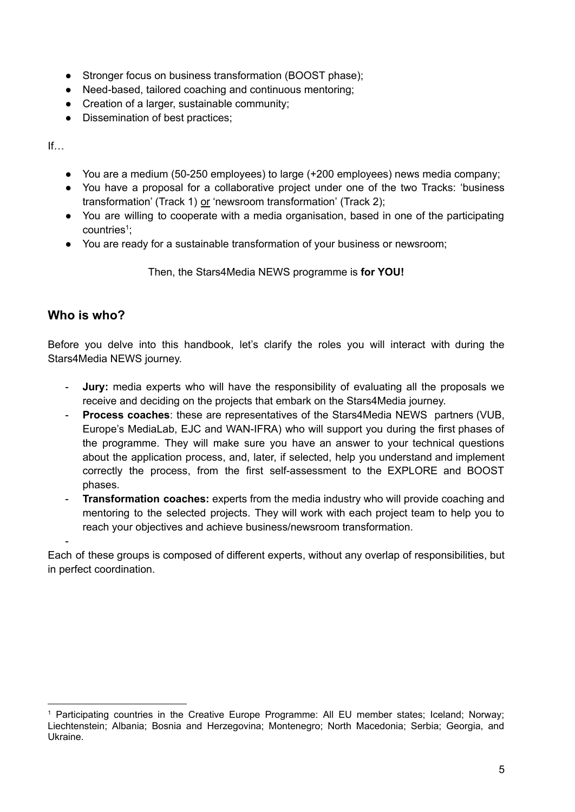- Stronger focus on business transformation (BOOST phase);
- Need-based, tailored coaching and continuous mentoring;
- Creation of a larger, sustainable community;
- Dissemination of best practices;

If…

- You are a medium (50-250 employees) to large (+200 employees) news media company;
- You have a proposal for a collaborative project under one of the two Tracks: 'business transformation' (Track 1) or 'newsroom transformation' (Track 2);
- You are willing to cooperate with a media organisation, based in one of the participating countries<sup>1</sup>;
- You are ready for a sustainable transformation of your business or newsroom;

Then, the Stars4Media NEWS programme is **for YOU!**

## <span id="page-4-0"></span>**Who is who?**

-

Before you delve into this handbook, let's clarify the roles you will interact with during the Stars4Media NEWS journey.

- **Jury:** media experts who will have the responsibility of evaluating all the proposals we receive and deciding on the projects that embark on the Stars4Media journey.
- **Process coaches**: these are representatives of the Stars4Media NEWS partners (VUB, Europe's MediaLab, EJC and WAN-IFRA) who will support you during the first phases of the programme. They will make sure you have an answer to your technical questions about the application process, and, later, if selected, help you understand and implement correctly the process, from the first self-assessment to the EXPLORE and BOOST phases.
- **Transformation coaches:** experts from the media industry who will provide coaching and mentoring to the selected projects. They will work with each project team to help you to reach your objectives and achieve business/newsroom transformation.

Each of these groups is composed of different experts, without any overlap of responsibilities, but in perfect coordination.

<sup>1</sup> Participating countries in the Creative Europe Programme: All EU member states; Iceland; Norway; Liechtenstein; Albania; Bosnia and Herzegovina; Montenegro; North Macedonia; Serbia; Georgia, and Ukraine.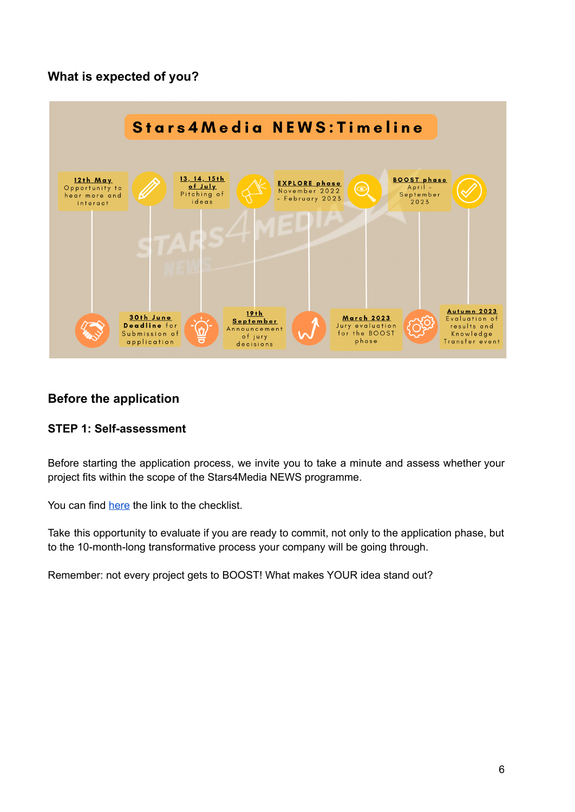## <span id="page-5-0"></span>**What is expected of you?**



## <span id="page-5-1"></span>**Before the application**

## <span id="page-5-2"></span>**STEP 1: Self-assessment**

Before starting the application process, we invite you to take a minute and assess whether your project fits within the scope of the Stars4Media NEWS programme.

You can find [here](https://stars4media.eu/wp-content/uploads/2022/04/Checklist.pdf) the link to the checklist.

Take this opportunity to evaluate if you are ready to commit, not only to the application phase, but to the 10-month-long transformative process your company will be going through.

Remember: not every project gets to BOOST! What makes YOUR idea stand out?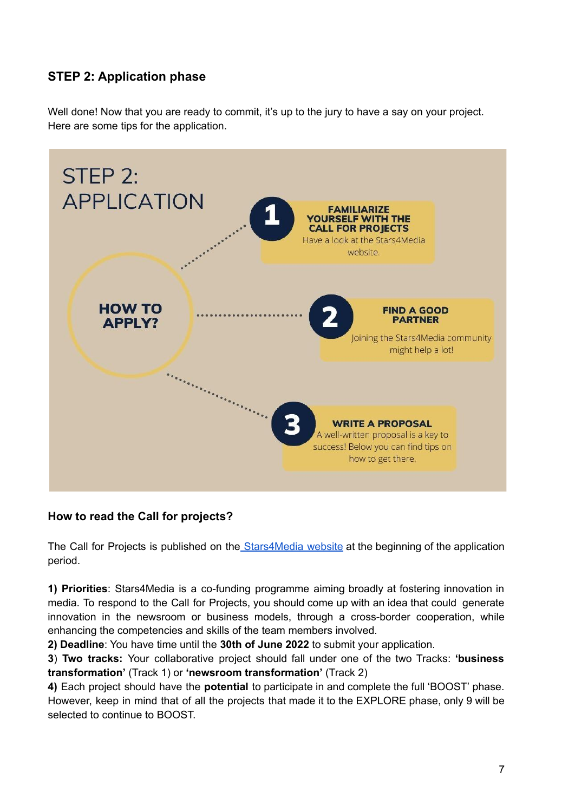# <span id="page-6-0"></span>**STEP 2: Application phase**

Well done! Now that you are ready to commit, it's up to the jury to have a say on your project. Here are some tips for the application.



## **How to read the Call for projects?**

The Call for Projects is published on the [Stars4Media](https://stars4media.eu/call-for-projects/) website at the beginning of the application period.

**1) Priorities**: Stars4Media is a co-funding programme aiming broadly at fostering innovation in media. To respond to the Call for Projects, you should come up with an idea that could generate innovation in the newsroom or business models, through a cross-border cooperation, while enhancing the competencies and skills of the team members involved.

**2) Deadline**: You have time until the **30th of June 2022** to submit your application.

**3**) **Two tracks:** Your collaborative project should fall under one of the two Tracks: **'business transformation'** (Track 1) or **'newsroom transformation'** (Track 2)

**4)** Each project should have the **potential** to participate in and complete the full 'BOOST' phase. However, keep in mind that of all the projects that made it to the EXPLORE phase, only 9 will be selected to continue to BOOST.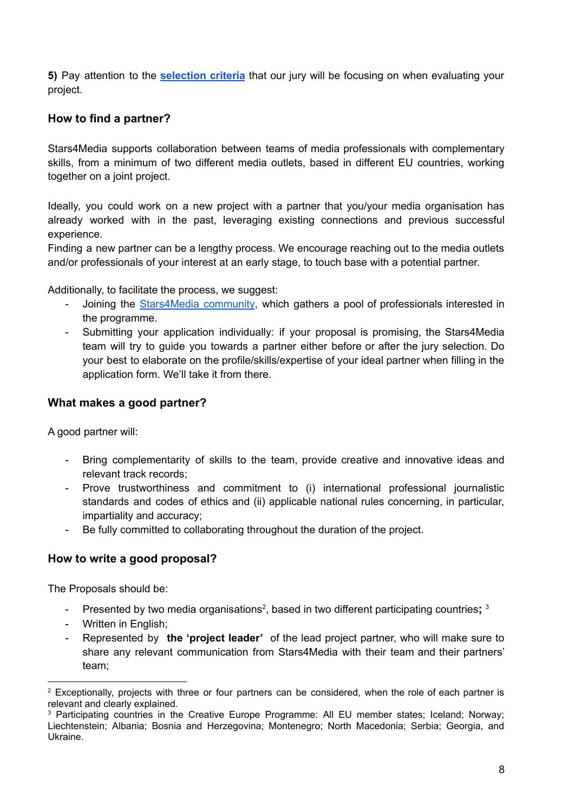**5)** Pay attention to the **[selection](https://stars4media.eu/selection-criteria/) criteria** that our jury will be focusing on when evaluating your project.

## **How to find a partner?**

Stars4Media supports collaboration between teams of media professionals with complementary skills, from a minimum of two different media outlets, based in different EU countries, working together on a joint project.

Ideally, you could work on a new project with a partner that you/your media organisation has already worked with in the past, leveraging existing connections and previous successful experience.

Finding a new partner can be a lengthy process. We encourage reaching out to the media outlets and/or professionals of your interest at an early stage, to touch base with a potential partner.

Additionally, to facilitate the process, we suggest:

- Joining the [Stars4Media](https://www.linkedin.com/groups/13801060/) community, which gathers a pool of professionals interested in the programme.
- Submitting your application individually: if your proposal is promising, the Stars4Media team will try to guide you towards a partner either before or after the jury selection. Do your best to elaborate on the profile/skills/expertise of your ideal partner when filling in the application form. We'll take it from there.

#### **What makes a good partner?**

A good partner will:

- Bring complementarity of skills to the team, provide creative and innovative ideas and relevant track records;
- Prove trustworthiness and commitment to (i) international professional journalistic standards and codes of ethics and (ii) applicable national rules concerning, in particular, impartiality and accuracy;
- Be fully committed to collaborating throughout the duration of the project.

#### **How to write a good proposal?**

The Proposals should be:

- Presented by two media organisations<sup>2</sup>, based in two different participating countries; <sup>3</sup>
- Written in English;
- Represented by **the 'project leader'** of the lead project partner, who will make sure to share any relevant communication from Stars4Media with their team and their partners' team;

<sup>&</sup>lt;sup>2</sup> Exceptionally, projects with three or four partners can be considered, when the role of each partner is relevant and clearly explained.

<sup>&</sup>lt;sup>3</sup> Participating countries in the Creative Europe Programme: All EU member states; Iceland; Norway; Liechtenstein; Albania; Bosnia and Herzegovina; Montenegro; North Macedonia; Serbia; Georgia, and Ukraine.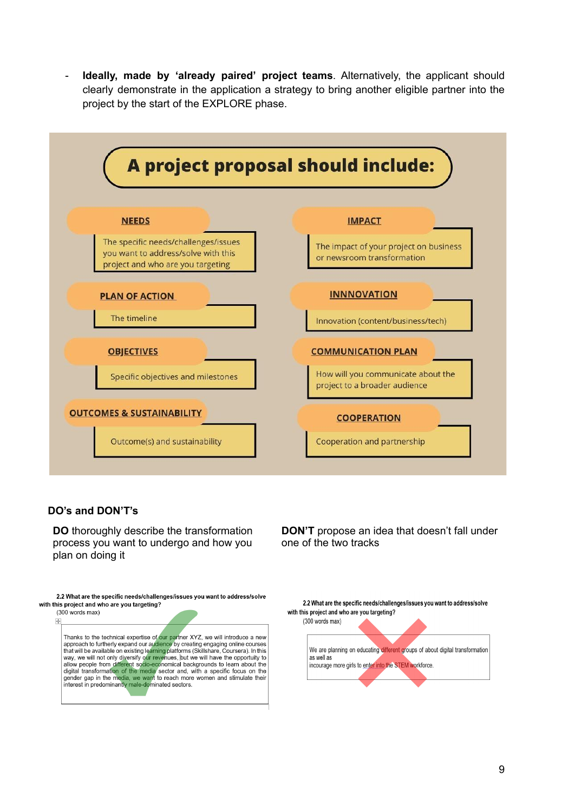- **Ideally, made by 'already paired' project teams**. Alternatively, the applicant should clearly demonstrate in the application a strategy to bring another eligible partner into the project by the start of the EXPLORE phase.



#### **DO's and DON'T's**

**DO** thoroughly describe the transformation process you want to undergo and how you plan on doing it

2.2 What are the specific needs/challenges/issues you want to address/solve with this project and who are you targeting?



**DON'T** propose an idea that doesn't fall under one of the two tracks

2.2 What are the specific needs/challenges/issues you want to address/solve with this project and who are you targeting?  $(300 \text{ words } \text{max})$ 

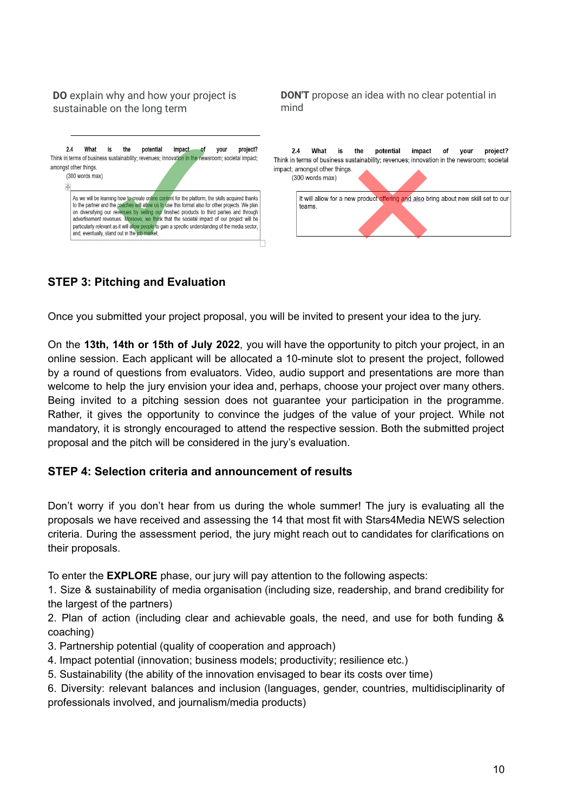#### **DO** explain why and how your project is sustainable on the long term

| 2.4          | What<br>amongst other things. | is | potential<br>the | <i>impact</i><br>٥t | project?<br>vour<br>Think in terms of business sustainability; revenues; innovation in the newsroom; societal impact;                                                                                                                                                                                                                                                                                                                                                                                  |
|--------------|-------------------------------|----|------------------|---------------------|--------------------------------------------------------------------------------------------------------------------------------------------------------------------------------------------------------------------------------------------------------------------------------------------------------------------------------------------------------------------------------------------------------------------------------------------------------------------------------------------------------|
| $\ddot{\pm}$ | (300 words max)               |    |                  |                     | As we will be learning how to create online content for the platform, the skills acquired thanks<br>to the partner and the coaches will allow us to use this format also for other projects. We plan<br>on diversifying our revenues by selling our finished products to third parties and through<br>advertisement revenues. Moreove, we think that the societal impact of our project will be<br>particularly relevant as it will allow people to gain a specific understanding of the media sector. |

**DON'T** propose an idea with no clear potential in mind



## <span id="page-9-0"></span>**STEP 3: Pitching and Evaluation**

Once you submitted your project proposal, you will be invited to present your idea to the jury.

On the **13th, 14th or 15th of July 2022**, you will have the opportunity to pitch your project, in an online session. Each applicant will be allocated a 10-minute slot to present the project, followed by a round of questions from evaluators. Video, audio support and presentations are more than welcome to help the jury envision your idea and, perhaps, choose your project over many others. Being invited to a pitching session does not guarantee your participation in the programme. Rather, it gives the opportunity to convince the judges of the value of your project. While not mandatory, it is strongly encouraged to attend the respective session. Both the submitted project proposal and the pitch will be considered in the jury's evaluation.

#### <span id="page-9-1"></span>**STEP 4: Selection criteria and announcement of results**

Don't worry if you don't hear from us during the whole summer! The jury is evaluating all the proposals we have received and assessing the 14 that most fit with Stars4Media NEWS selection criteria. During the assessment period, the jury might reach out to candidates for clarifications on their proposals.

To enter the **EXPLORE** phase, our jury will pay attention to the following aspects:

1. Size & sustainability of media organisation (including size, readership, and brand credibility for the largest of the partners)

2. Plan of action (including clear and achievable goals, the need, and use for both funding & coaching)

- 3. Partnership potential (quality of cooperation and approach)
- 4. Impact potential (innovation; business models; productivity; resilience etc.)
- 5. Sustainability (the ability of the innovation envisaged to bear its costs over time)
- 6. Diversity: relevant balances and inclusion (languages, gender, countries, multidisciplinarity of professionals involved, and journalism/media products)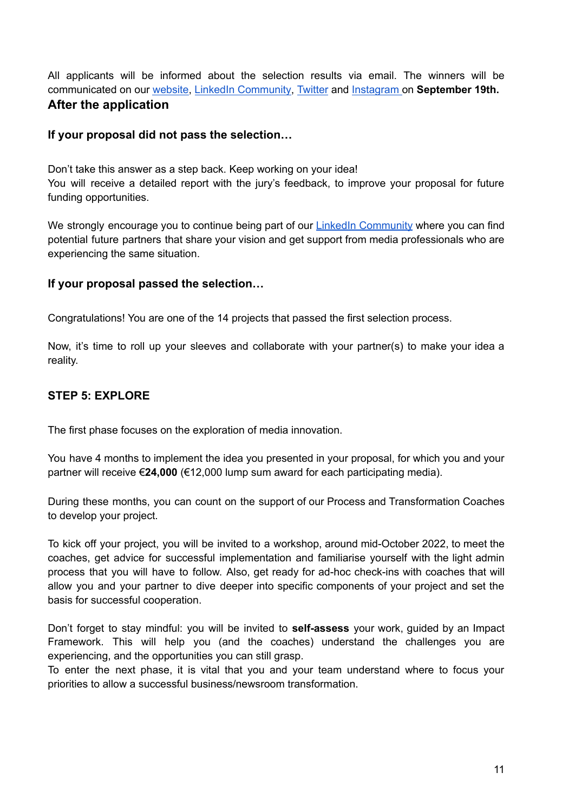<span id="page-10-0"></span>All applicants will be informed about the selection results via email. The winners will be communicated on our [website,](https://stars4media.eu/) LinkedIn [Community,](https://www.linkedin.com/groups/13801060/) [Twitter](https://twitter.com/Stars4Media) and [Instagram](https://www.instagram.com/stars4media_europe/) on **September 19th. After the application**

#### <span id="page-10-1"></span>**If your proposal did not pass the selection…**

Don't take this answer as a step back. Keep working on your idea! You will receive a detailed report with the jury's feedback, to improve your proposal for future funding opportunities.

We strongly encourage you to continue being part of our LinkedIn [Community](https://www.linkedin.com/groups/13801060/) where you can find potential future partners that share your vision and get support from media professionals who are experiencing the same situation.

#### <span id="page-10-2"></span>**If your proposal passed the selection…**

Congratulations! You are one of the 14 projects that passed the first selection process.

Now, it's time to roll up your sleeves and collaborate with your partner(s) to make your idea a reality.

## <span id="page-10-3"></span>**STEP 5: EXPLORE**

The first phase focuses on the exploration of media innovation.

You have 4 months to implement the idea you presented in your proposal, for which you and your partner will receive €**24,000** (€12,000 lump sum award for each participating media).

During these months, you can count on the support of our Process and Transformation Coaches to develop your project.

To kick off your project, you will be invited to a workshop, around mid-October 2022, to meet the coaches, get advice for successful implementation and familiarise yourself with the light admin process that you will have to follow. Also, get ready for ad-hoc check-ins with coaches that will allow you and your partner to dive deeper into specific components of your project and set the basis for successful cooperation.

Don't forget to stay mindful: you will be invited to **self-assess** your work, guided by an Impact Framework. This will help you (and the coaches) understand the challenges you are experiencing, and the opportunities you can still grasp.

To enter the next phase, it is vital that you and your team understand where to focus your priorities to allow a successful business/newsroom transformation.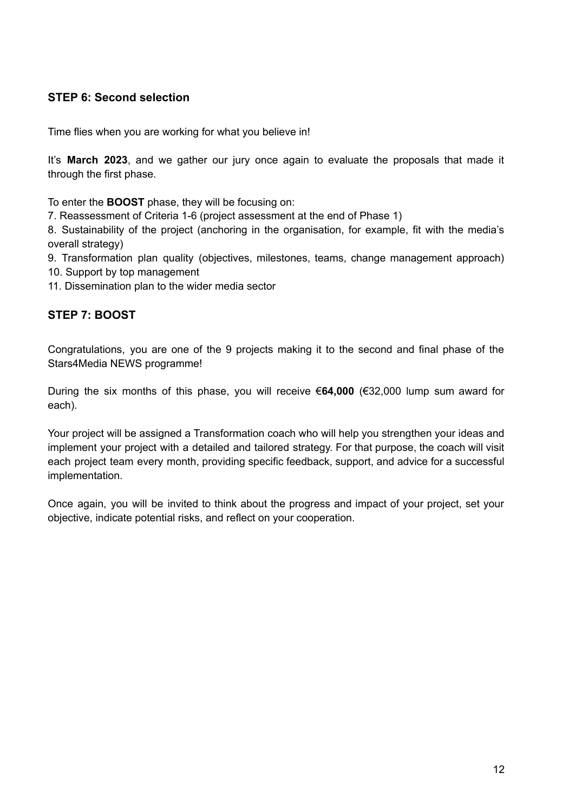## <span id="page-11-0"></span>**STEP 6: Second selection**

Time flies when you are working for what you believe in!

It's **March 2023**, and we gather our jury once again to evaluate the proposals that made it through the first phase.

To enter the **BOOST** phase, they will be focusing on:

7. Reassessment of Criteria 1-6 (project assessment at the end of Phase 1)

8. Sustainability of the project (anchoring in the organisation, for example, fit with the media's overall strategy)

9. Transformation plan quality (objectives, milestones, teams, change management approach) 10. Support by top management

11. Dissemination plan to the wider media sector

## <span id="page-11-1"></span>**STEP 7: BOOST**

Congratulations, you are one of the 9 projects making it to the second and final phase of the Stars4Media NEWS programme!

During the six months of this phase, you will receive €**64,000** (€32,000 lump sum award for each).

Your project will be assigned a Transformation coach who will help you strengthen your ideas and implement your project with a detailed and tailored strategy. For that purpose, the coach will visit each project team every month, providing specific feedback, support, and advice for a successful implementation.

Once again, you will be invited to think about the progress and impact of your project, set your objective, indicate potential risks, and reflect on your cooperation.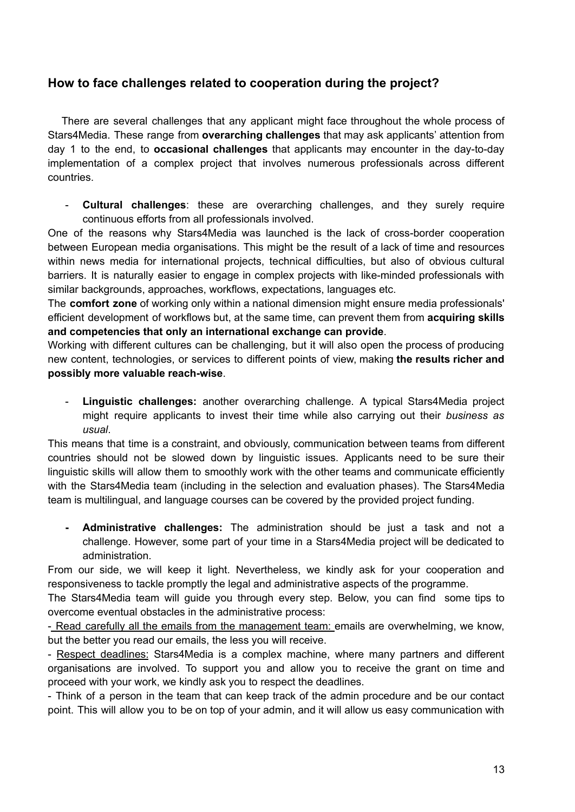## <span id="page-12-0"></span>**How to face challenges related to cooperation during the project?**

There are several challenges that any applicant might face throughout the whole process of Stars4Media. These range from **overarching challenges** that may ask applicants' attention from day 1 to the end, to **occasional challenges** that applicants may encounter in the day-to-day implementation of a complex project that involves numerous professionals across different countries.

- **Cultural challenges**: these are overarching challenges, and they surely require continuous efforts from all professionals involved.

One of the reasons why Stars4Media was launched is the lack of cross-border cooperation between European media organisations. This might be the result of a lack of time and resources within news media for international projects, technical difficulties, but also of obvious cultural barriers. It is naturally easier to engage in complex projects with like-minded professionals with similar backgrounds, approaches, workflows, expectations, languages etc.

The **comfort zone** of working only within a national dimension might ensure media professionals' efficient development of workflows but, at the same time, can prevent them from **acquiring skills and competencies that only an international exchange can provide**.

Working with different cultures can be challenging, but it will also open the process of producing new content, technologies, or services to different points of view, making **the results richer and possibly more valuable reach-wise**.

- **Linguistic challenges:** another overarching challenge. A typical Stars4Media project might require applicants to invest their time while also carrying out their *business as usual*.

This means that time is a constraint, and obviously, communication between teams from different countries should not be slowed down by linguistic issues. Applicants need to be sure their linguistic skills will allow them to smoothly work with the other teams and communicate efficiently with the Stars4Media team (including in the selection and evaluation phases). The Stars4Media team is multilingual, and language courses can be covered by the provided project funding.

**- Administrative challenges:** The administration should be just a task and not a challenge. However, some part of your time in a Stars4Media project will be dedicated to administration.

From our side, we will keep it light. Nevertheless, we kindly ask for your cooperation and responsiveness to tackle promptly the legal and administrative aspects of the programme.

The Stars4Media team will guide you through every step. Below, you can find some tips to overcome eventual obstacles in the administrative process:

- Read carefully all the emails from the management team: emails are overwhelming, we know, but the better you read our emails, the less you will receive.

- Respect deadlines: Stars4Media is a complex machine, where many partners and different organisations are involved. To support you and allow you to receive the grant on time and proceed with your work, we kindly ask you to respect the deadlines.

- Think of a person in the team that can keep track of the admin procedure and be our contact point. This will allow you to be on top of your admin, and it will allow us easy communication with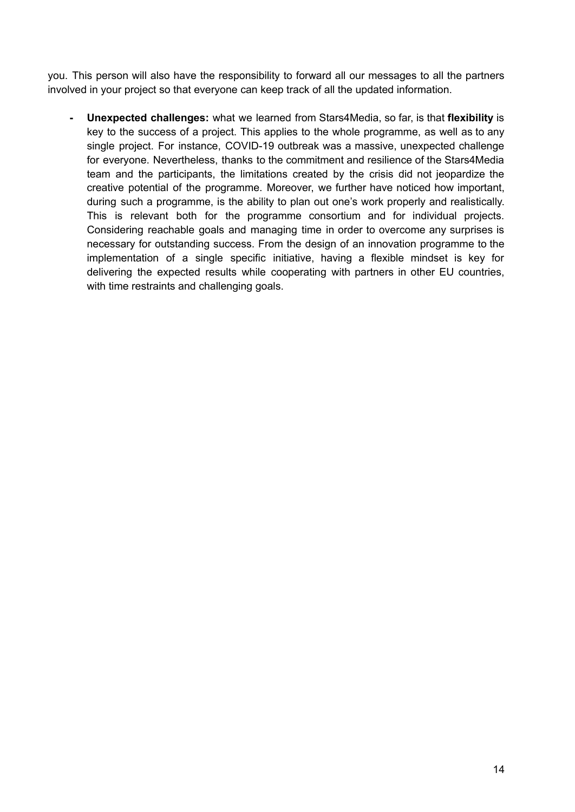you. This person will also have the responsibility to forward all our messages to all the partners involved in your project so that everyone can keep track of all the updated information.

**- Unexpected challenges:** what we learned from Stars4Media, so far, is that **flexibility** is key to the success of a project. This applies to the whole programme, as well as to any single project. For instance, COVID-19 outbreak was a massive, unexpected challenge for everyone. Nevertheless, thanks to the commitment and resilience of the Stars4Media team and the participants, the limitations created by the crisis did not jeopardize the creative potential of the programme. Moreover, we further have noticed how important, during such a programme, is the ability to plan out one's work properly and realistically. This is relevant both for the programme consortium and for individual projects. Considering reachable goals and managing time in order to overcome any surprises is necessary for outstanding success. From the design of an innovation programme to the implementation of a single specific initiative, having a flexible mindset is key for delivering the expected results while cooperating with partners in other EU countries, with time restraints and challenging goals.